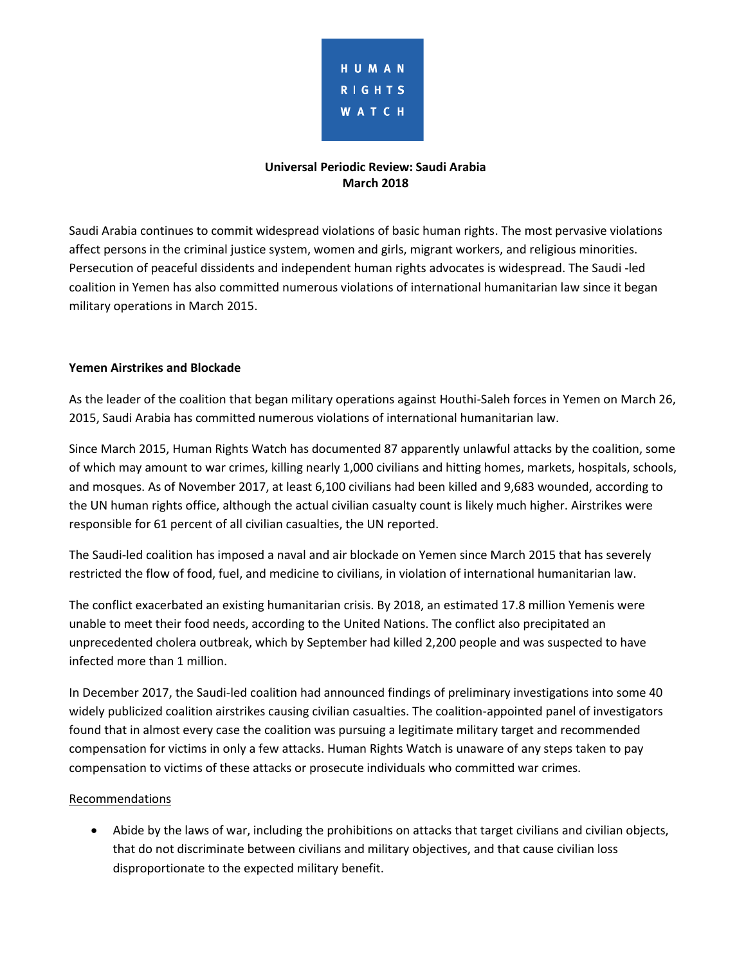

# **Universal Periodic Review: Saudi Arabia March 2018**

Saudi Arabia continues to commit widespread violations of basic human rights. The most pervasive violations affect persons in the criminal justice system, women and girls, migrant workers, and religious minorities. Persecution of peaceful dissidents and independent human rights advocates is widespread. The Saudi -led coalition in Yemen has also committed numerous violations of international humanitarian law since it began military operations in March 2015.

## **Yemen Airstrikes and Blockade**

As the leader of the coalition that began military operations against Houthi-Saleh forces in Yemen on March 26, 2015, Saudi Arabia has committed numerous violations of international humanitarian law.

Since March 2015, Human Rights Watch has documented 87 apparently unlawful attacks by the coalition, some of which may amount to war crimes, killing nearly 1,000 civilians and hitting homes, markets, hospitals, schools, and mosques. As of November 2017, at least 6,100 civilians had been killed and 9,683 wounded, according to the UN human rights office, although the actual civilian casualty count is likely much higher. Airstrikes were responsible for 61 percent of all civilian casualties, the UN reported.

The Saudi-led coalition has imposed a naval and air blockade on Yemen since March 2015 that has severely restricted the flow of food, fuel, and medicine to civilians, in violation of international humanitarian law.

The conflict exacerbated an existing humanitarian crisis. By 2018, an estimated 17.8 million Yemenis were unable to meet their food needs, according to the United Nations. The conflict also precipitated an unprecedented cholera outbreak, which by September had killed 2,200 people and was suspected to have infected more than 1 million.

In December 2017, the Saudi-led coalition had announced findings of preliminary investigations into some 40 widely publicized coalition airstrikes causing civilian casualties. The coalition-appointed panel of investigators found that in almost every case the coalition was pursuing a legitimate military target and recommended compensation for victims in only a few attacks. Human Rights Watch is unaware of any steps taken to pay compensation to victims of these attacks or prosecute individuals who committed war crimes.

#### Recommendations

 Abide by the laws of war, including the prohibitions on attacks that target civilians and civilian objects, that do not discriminate between civilians and military objectives, and that cause civilian loss disproportionate to the expected military benefit.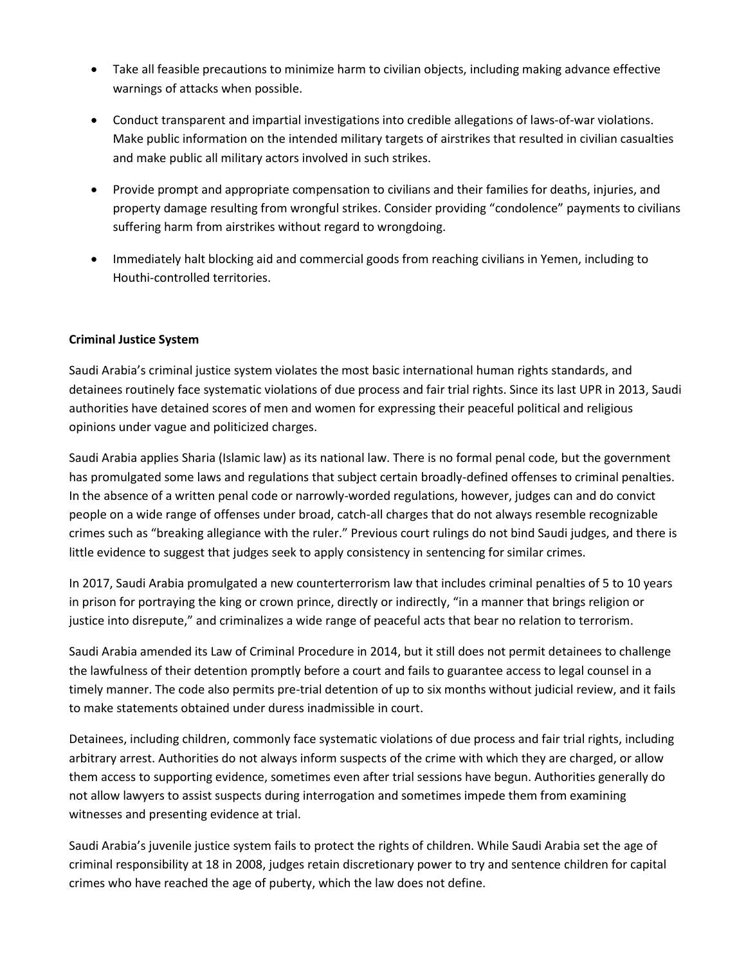- Take all feasible precautions to minimize harm to civilian objects, including making advance effective warnings of attacks when possible.
- Conduct transparent and impartial investigations into credible allegations of laws-of-war violations. Make public information on the intended military targets of airstrikes that resulted in civilian casualties and make public all military actors involved in such strikes.
- Provide prompt and appropriate compensation to civilians and their families for deaths, injuries, and property damage resulting from wrongful strikes. Consider providing "condolence" payments to civilians suffering harm from airstrikes without regard to wrongdoing.
- Immediately halt blocking aid and commercial goods from reaching civilians in Yemen, including to Houthi-controlled territories.

# **Criminal Justice System**

Saudi Arabia's criminal justice system violates the most basic international human rights standards, and detainees routinely face systematic violations of due process and fair trial rights. Since its last UPR in 2013, Saudi authorities have detained scores of men and women for expressing their peaceful political and religious opinions under vague and politicized charges.

Saudi Arabia applies Sharia (Islamic law) as its national law. There is no formal penal code, but the government has promulgated some laws and regulations that subject certain broadly-defined offenses to criminal penalties. In the absence of a written penal code or narrowly-worded regulations, however, judges can and do convict people on a wide range of offenses under broad, catch-all charges that do not always resemble recognizable crimes such as "breaking allegiance with the ruler." Previous court rulings do not bind Saudi judges, and there is little evidence to suggest that judges seek to apply consistency in sentencing for similar crimes.

In 2017, Saudi Arabia promulgated a new counterterrorism law that includes criminal penalties of 5 to 10 years in prison for portraying the king or crown prince, directly or indirectly, "in a manner that brings religion or justice into disrepute," and criminalizes a wide range of peaceful acts that bear no relation to terrorism.

Saudi Arabia amended its Law of Criminal Procedure in 2014, but it still does not permit detainees to challenge the lawfulness of their detention promptly before a court and fails to guarantee access to legal counsel in a timely manner. The code also permits pre-trial detention of up to six months without judicial review, and it fails to make statements obtained under duress inadmissible in court.

Detainees, including children, commonly face systematic violations of due process and fair trial rights, including arbitrary arrest. Authorities do not always inform suspects of the crime with which they are charged, or allow them access to supporting evidence, sometimes even after trial sessions have begun. Authorities generally do not allow lawyers to assist suspects during interrogation and sometimes impede them from examining witnesses and presenting evidence at trial.

Saudi Arabia's juvenile justice system fails to protect the rights of children. While Saudi Arabia set the age of criminal responsibility at 18 in 2008, judges retain discretionary power to try and sentence children for capital crimes who have reached the age of puberty, which the law does not define.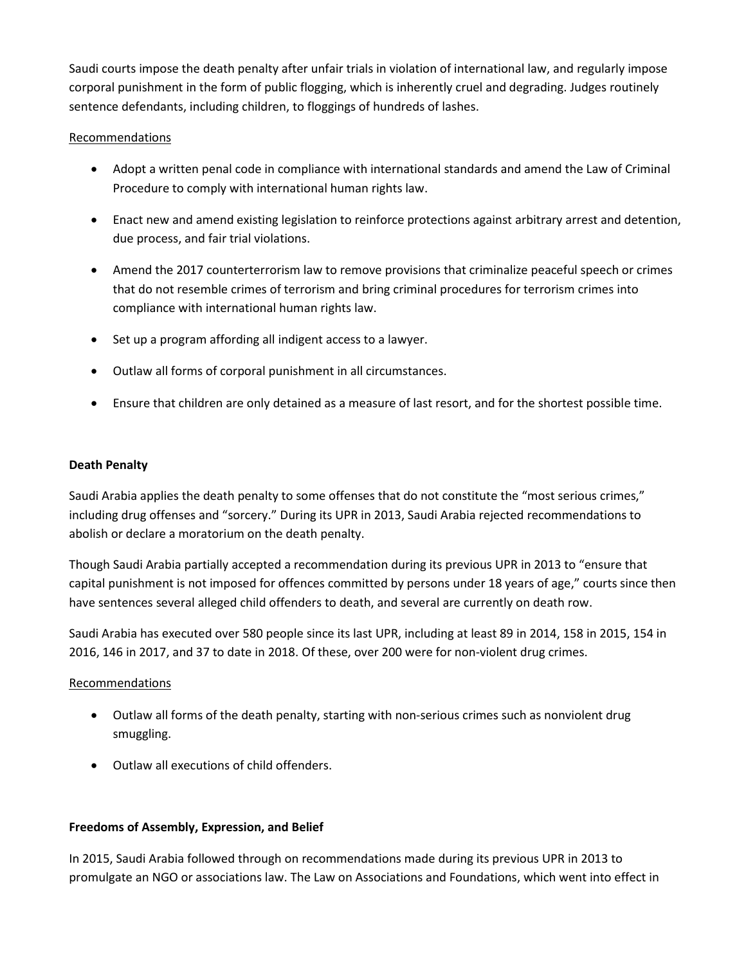Saudi courts impose the death penalty after unfair trials in violation of international law, and regularly impose corporal punishment in the form of public flogging, which is inherently cruel and degrading. Judges routinely sentence defendants, including children, to floggings of hundreds of lashes.

## Recommendations

- Adopt a written penal code in compliance with international standards and amend the Law of Criminal Procedure to comply with international human rights law.
- Enact new and amend existing legislation to reinforce protections against arbitrary arrest and detention, due process, and fair trial violations.
- Amend the 2017 counterterrorism law to remove provisions that criminalize peaceful speech or crimes that do not resemble crimes of terrorism and bring criminal procedures for terrorism crimes into compliance with international human rights law.
- Set up a program affording all indigent access to a lawyer.
- Outlaw all forms of corporal punishment in all circumstances.
- Ensure that children are only detained as a measure of last resort, and for the shortest possible time.

## **Death Penalty**

Saudi Arabia applies the death penalty to some offenses that do not constitute the "most serious crimes," including drug offenses and "sorcery." During its UPR in 2013, Saudi Arabia rejected recommendations to abolish or declare a moratorium on the death penalty.

Though Saudi Arabia partially accepted a recommendation during its previous UPR in 2013 to "ensure that capital punishment is not imposed for offences committed by persons under 18 years of age," courts since then have sentences several alleged child offenders to death, and several are currently on death row.

Saudi Arabia has executed over 580 people since its last UPR, including at least 89 in 2014, 158 in 2015, 154 in 2016, 146 in 2017, and 37 to date in 2018. Of these, over 200 were for non-violent drug crimes.

# Recommendations

- Outlaw all forms of the death penalty, starting with non-serious crimes such as nonviolent drug smuggling.
- Outlaw all executions of child offenders.

# **Freedoms of Assembly, Expression, and Belief**

In 2015, Saudi Arabia followed through on recommendations made during its previous UPR in 2013 to promulgate an NGO or associations law. The Law on Associations and Foundations, which went into effect in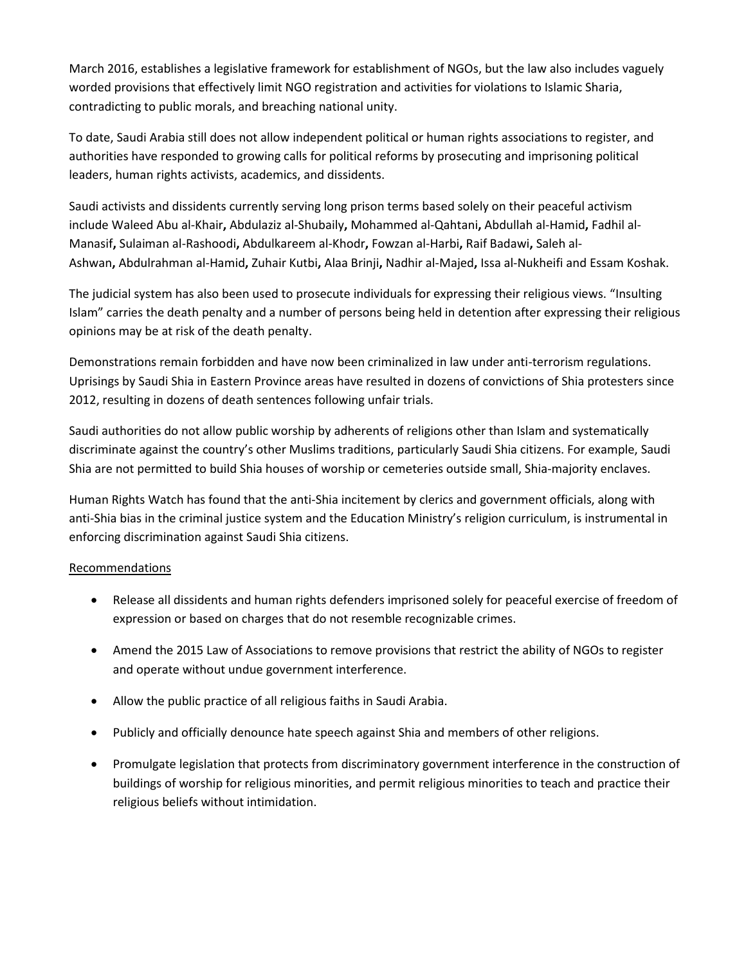March 2016, establishes a legislative framework for establishment of NGOs, but the law also includes vaguely worded provisions that effectively limit NGO registration and activities for violations to Islamic Sharia, contradicting to public morals, and breaching national unity.

To date, Saudi Arabia still does not allow independent political or human rights associations to register, and authorities have responded to growing calls for political reforms by prosecuting and imprisoning political leaders, human rights activists, academics, and dissidents.

Saudi activists and dissidents currently serving long prison terms based solely on their peaceful activism include Waleed Abu al-Khair**,** Abdulaziz al-Shubaily**,** Mohammed al-Qahtani**,** Abdullah al-Hamid**,** Fadhil al-Manasif**,** Sulaiman al-Rashoodi**,** Abdulkareem al-Khodr**,** Fowzan al-Harbi**,** Raif Badawi**,** Saleh al-Ashwan**,** Abdulrahman al-Hamid**,** Zuhair Kutbi**,** Alaa Brinji**,** Nadhir al-Majed**,** Issa al-Nukheifi and Essam Koshak.

The judicial system has also been used to prosecute individuals for expressing their religious views. "Insulting Islam" carries the death penalty and a number of persons being held in detention after expressing their religious opinions may be at risk of the death penalty.

Demonstrations remain forbidden and have now been criminalized in law under anti-terrorism regulations. Uprisings by Saudi Shia in Eastern Province areas have resulted in dozens of convictions of Shia protesters since 2012, resulting in dozens of death sentences following unfair trials.

Saudi authorities do not allow public worship by adherents of religions other than Islam and systematically discriminate against the country's other Muslims traditions, particularly Saudi Shia citizens. For example, Saudi Shia are not permitted to build Shia houses of worship or cemeteries outside small, Shia-majority enclaves.

Human Rights Watch has found that the anti-Shia incitement by clerics and government officials, along with anti-Shia bias in the criminal justice system and the Education Ministry's religion curriculum, is instrumental in enforcing discrimination against Saudi Shia citizens.

# Recommendations

- Release all dissidents and human rights defenders imprisoned solely for peaceful exercise of freedom of expression or based on charges that do not resemble recognizable crimes.
- Amend the 2015 Law of Associations to remove provisions that restrict the ability of NGOs to register and operate without undue government interference.
- Allow the public practice of all religious faiths in Saudi Arabia.
- Publicly and officially denounce hate speech against Shia and members of other religions.
- Promulgate legislation that protects from discriminatory government interference in the construction of buildings of worship for religious minorities, and permit religious minorities to teach and practice their religious beliefs without intimidation.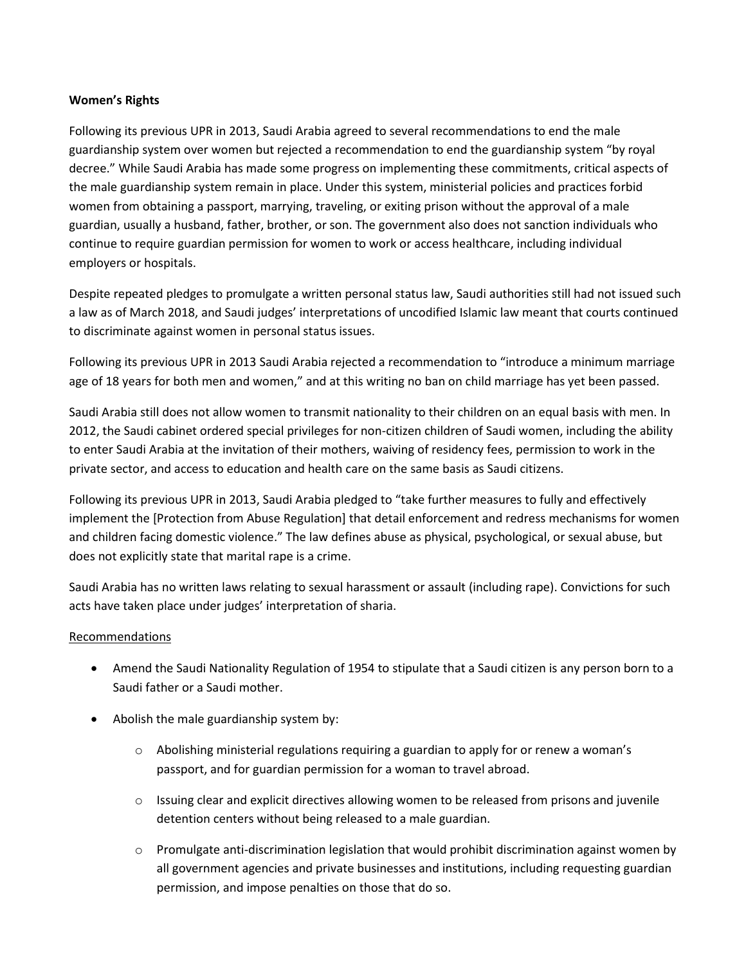## **Women's Rights**

Following its previous UPR in 2013, Saudi Arabia agreed to several recommendations to end the male guardianship system over women but rejected a recommendation to end the guardianship system "by royal decree." While Saudi Arabia has made some progress on implementing these commitments, critical aspects of the male guardianship system remain in place. Under this system, ministerial policies and practices forbid women from obtaining a passport, marrying, traveling, or exiting prison without the approval of a male guardian, usually a husband, father, brother, or son. The government also does not sanction individuals who continue to require guardian permission for women to work or access healthcare, including individual employers or hospitals.

Despite repeated pledges to promulgate a written personal status law, Saudi authorities still had not issued such a law as of March 2018, and Saudi judges' interpretations of uncodified Islamic law meant that courts continued to discriminate against women in personal status issues.

Following its previous UPR in 2013 Saudi Arabia rejected a recommendation to "introduce a minimum marriage age of 18 years for both men and women," and at this writing no ban on child marriage has yet been passed.

Saudi Arabia still does not allow women to transmit nationality to their children on an equal basis with men. In 2012, the Saudi cabinet ordered special privileges for non-citizen children of Saudi women, including the ability to enter Saudi Arabia at the invitation of their mothers, waiving of residency fees, permission to work in the private sector, and access to education and health care on the same basis as Saudi citizens.

Following its previous UPR in 2013, Saudi Arabia pledged to "take further measures to fully and effectively implement the [Protection from Abuse Regulation] that detail enforcement and redress mechanisms for women and children facing domestic violence." The law defines abuse as physical, psychological, or sexual abuse, but does not explicitly state that marital rape is a crime.

Saudi Arabia has no written laws relating to sexual harassment or assault (including rape). Convictions for such acts have taken place under judges' interpretation of sharia.

#### Recommendations

- Amend the Saudi Nationality Regulation of 1954 to stipulate that a Saudi citizen is any person born to a Saudi father or a Saudi mother.
- Abolish the male guardianship system by:
	- $\circ$  Abolishing ministerial regulations requiring a guardian to apply for or renew a woman's passport, and for guardian permission for a woman to travel abroad.
	- $\circ$  Issuing clear and explicit directives allowing women to be released from prisons and juvenile detention centers without being released to a male guardian.
	- o Promulgate anti-discrimination legislation that would prohibit discrimination against women by all government agencies and private businesses and institutions, including requesting guardian permission, and impose penalties on those that do so.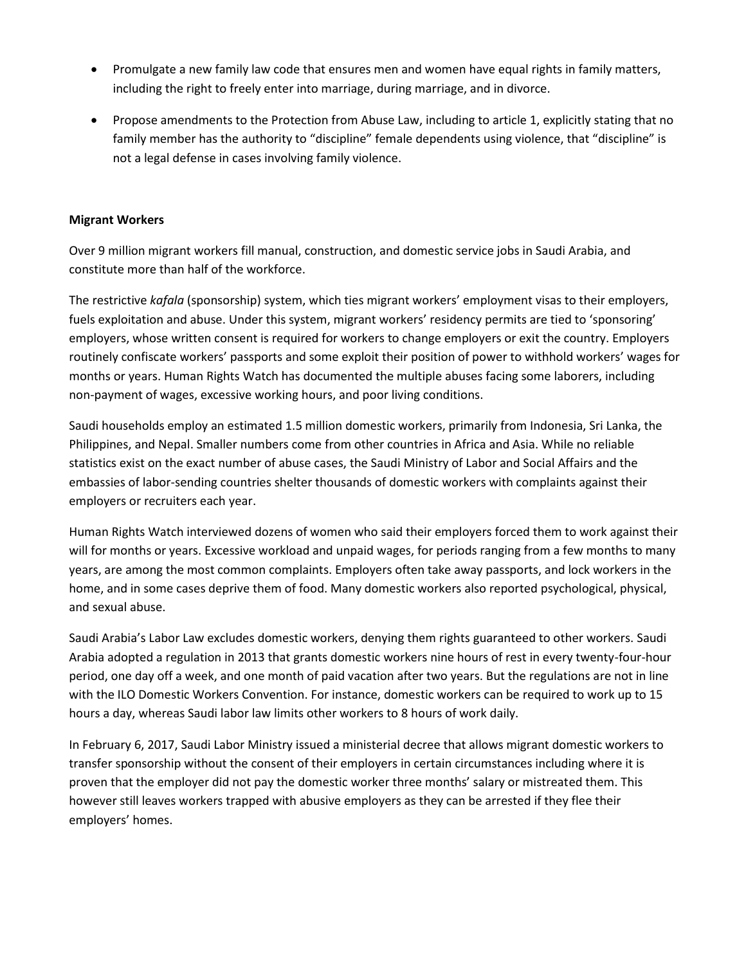- Promulgate a new family law code that ensures men and women have equal rights in family matters, including the right to freely enter into marriage, during marriage, and in divorce.
- Propose amendments to the Protection from Abuse Law, including to article 1, explicitly stating that no family member has the authority to "discipline" female dependents using violence, that "discipline" is not a legal defense in cases involving family violence.

#### **Migrant Workers**

Over 9 million migrant workers fill manual, construction, and domestic service jobs in Saudi Arabia, and constitute more than half of the workforce.

The restrictive *kafala* (sponsorship) system, which ties migrant workers' employment visas to their employers, fuels exploitation and abuse. Under this system, migrant workers' residency permits are tied to 'sponsoring' employers, whose written consent is required for workers to change employers or exit the country. Employers routinely confiscate workers' passports and some exploit their position of power to withhold workers' wages for months or years. Human Rights Watch has documented the multiple abuses facing some laborers, including non-payment of wages, excessive working hours, and poor living conditions.

Saudi households employ an estimated 1.5 million domestic workers, primarily from Indonesia, Sri Lanka, the Philippines, and Nepal. Smaller numbers come from other countries in Africa and Asia. While no reliable statistics exist on the exact number of abuse cases, the Saudi Ministry of Labor and Social Affairs and the embassies of labor-sending countries shelter thousands of domestic workers with complaints against their employers or recruiters each year.

Human Rights Watch interviewed dozens of women who said their employers forced them to work against their will for months or years. Excessive workload and unpaid wages, for periods ranging from a few months to many years, are among the most common complaints. Employers often take away passports, and lock workers in the home, and in some cases deprive them of food. Many domestic workers also reported psychological, physical, and sexual abuse.

Saudi Arabia's Labor Law excludes domestic workers, denying them rights guaranteed to other workers. Saudi Arabia adopted a regulation in 2013 that grants domestic workers nine hours of rest in every twenty-four-hour period, one day off a week, and one month of paid vacation after two years. But the regulations are not in line with the ILO Domestic Workers Convention. For instance, domestic workers can be required to work up to 15 hours a day, whereas Saudi labor law limits other workers to 8 hours of work daily.

In February 6, 2017, Saudi Labor Ministry issued a ministerial decree that allows migrant domestic workers to transfer sponsorship without the consent of their employers in certain circumstances including where it is proven that the employer did not pay the domestic worker three months' salary or mistreated them. This however still leaves workers trapped with abusive employers as they can be arrested if they flee their employers' homes.